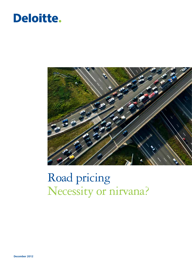## Deloitte.



# Road pricing Necessity or nirvana?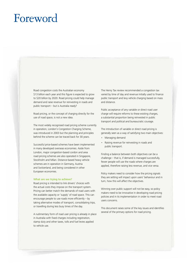### Foreword

Road congestion costs the Australian economy \$13 billion each year and this figure is expected to grow to \$20 billion by 2020. Road pricing could help manage demand and raise revenue for reinvesting in roads and public transport – but is Australia ready?

Road pricing, or the concept of charging directly for the use of road space, is not a new idea.

The most widely recognised road pricing scheme currently in operation, London's Congestion Charging Scheme, was introduced in 2003 but the planning and principles behind the scheme can be traced back for 30 years.

Successful price-based schemes have been implemented in many developed overseas economies. Aside from London, major congestion-based cordon and area road pricing schemes are also operated in Singapore, Stockholm and Milan. Distance-based heavy vehicle schemes are in operation in Germany, Austria and Switzerland, and being considered in other European economies.

#### **What are we trying to achieve?**

Road pricing is intended to link drivers' choices with the actual costs they impose on the transport system. Pricing can better match the demands of road users with the available capacity or 'supply' of road space. This can encourage people to use roads more efficiently – by taking alternative modes of transport, consolidating trips, or travelling during less busy times of the day.

A rudimentary form of road user pricing is already in place in Australia with fixed charges including registration, stamp duty and other taxes, tolls and fuel levies applied to vehicle use.

The Henry Tax review recommended a congestion tax varied by time of day and revenue initially used to finance public transport and levy vehicle charging based on mass and distance.

Public acceptance of any variable or direct road user charge will require reforms to these existing charges, a substantial proportion being reinvested in public transport and political and bureaucratic courage.

The introduction of variable or direct road pricing is generally seen as a way of satisfying two main objectives:

- Managing demand
- • Raising revenue for reinvesting in roads and public transport.

Finding a balance between both objectives can be a challenge – that is, if demand is managed successfully, fewer people will use the roads where charges are applied, therefore raising less revenue, and vice versa.

Policy makers need to consider how the pricing signals they are setting will impact upon users' behaviour and in turn, how this will affect the objectives.

Winning over public support will not be easy, so policy makers need to be innovative in developing road pricing policies and in its implementation in order to meet road users concerns.

This document raises some of the key issues and identifies several of the primary options for road pricing.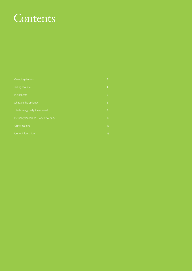## **Contents**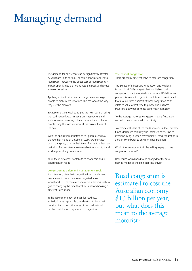# Managing demand

The demand for any service can be significantly affected by variations in its pricing. The same principle applies to road space. Increasing the direct cost of road space can impact upon its desirability and result in positive changes in travel behaviour.

Applying a direct price on road usage can encourage people to make more 'informed choices' about the way they use the network.

Because users are required to pay the 'real' costs of using the road network (e.g. impacts on infrastructure and environmental damage), this can reduce the number of people using the road network at the busiest times of the day.

With the application of better price signals, users may change their mode of travel (e.g. walk, cycle or catch public transport), change their time of travel to a less busy period, or find an alternative to enable them not to travel at all (e.g. working from home).

All of these outcomes contribute to fewer cars and less congestion on roads.

#### **Congestion as a demand management tool...**

It is often forgotten that congestion itself is a demand management tool – the more congested a road (or network) is, the more consideration a driver is likely to give to changing the time that they travel or choosing a different travel mode.

In the absence of direct charges for road use, individual drivers give little consideration to how their decisions impact on other uses of the road network i.e. the contribution they make to congestion.

#### **The cost of congestion**

There are many different ways to measure congestion.

The Bureau of Infrastructure Transport and Regional Economics (BITRE) suggests that 'avoidable' road congestion costs the Australian economy \$13 billion per year and is forecast to grow in the future. It is estimated that around three quarters of these congestion costs relate to value of lost time to private and business travellers. But what do these costs mean in reality?

To the average motorist, congestion means frustration, wasted time and reduced productivity.

To commercial users of the roads, it means added delivery times, decreased reliability and increased costs. And to everyone living in urban environments, road congestion is a major contributor to environmental pollution.

Would the average motorist be willing to pay to have congestion reduced?

How much would need to be charged for them to change modes or the time that they travel?

Road congestion is estimated to cost the Australian economy \$13 billion per year, but what does this mean to the average motorist?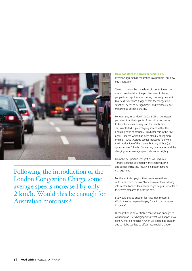

Following the introduction of the London Congestion Charge some average speeds increased by only 2 km/h. Would this be enough for Australian motorists?

**How bad does the problem need to be?** Everyone agrees that congestion is a problem, but how bad is it really?

There will always be some level of congestion on our roads. How bad does the problem need to be for people to accept that road pricing is actually needed? Overseas experience suggests that the 'congestion situation' needs to be significant, and worsening, for motorists to accept a charge.

For example, in London in 2002, 50% of businesses perceived that the impacts of peak-time congestion to be either critical or very bad for their business. This is reflected in pre-charging speeds within the Charging Zone of around 20km/h (for cars in the AM peak) – speeds which had been steadily falling since the mid 1970s. Average speeds increased following the introduction of the charge, but only slightly (by approximately 2 km/h). Conversely, on roads around the charging zone, average speeds decreased slightly.

From this perspective, congestion was reduced – traffic volumes decreased in the charging zone and speeds increased, resulting in better demand management.

For the motorists paying the charge, were these outcomes worth the cost? For certain motorists driving into central London the answer might be yes – or at least they were prepared to bear the cost.

But would this be enough for Australian motorists? Would they be prepared to pay for a 2 km/h increase in speeds?

Is congestion in an Australian context 'bad enough' to warrant road user charging? And what will happen if we continue to 'do nothing'? When will it get 'bad enough' and will it be too late to effect meaningful change?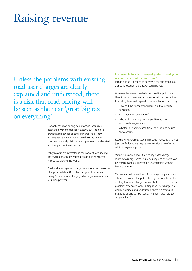# Raising revenue

Unless the problems with existing road user charges are clearly explained and understood, there is a risk that road pricing will be seen as the next 'great big tax on everything'

> Not only can road pricing help manage 'problems' associated with the transport system, but it can also provide a remedy for another key challenge – how to generate revenue that can be reinvested in road infrastructure and public transport programs, or allocated to other parts of the economy.

Policy makers are interested in the concept, considering the revenue that is generated by road pricing schemes introduced around the world.

The London congestion charge generates (gross) revenue of approximately \$380 million per year. The German Heavy Goods Vehicle charging scheme generates around \$5 billion per year.

### **Is it possible to solve transport problems and get a revenue benefit at the same time?**

If road pricing is needed to address a specific problem at a specific location, the answer could be yes.

However the extent to which the travelling public are likely to accept new fees and charges without reductions to existing taxes will depend on several factors, including:

- • How bad the transport problems are that need to be solved?
- How much will be charged?
- Who and how many people are likely to pay additional charges, and?
- Whether or not increased travel costs can be passed on to others?

Road pricing schemes covering broader networks and not just specific locations may require considerable effort to sell to the general public.

Variable distance and/or time of day based charges levied across large areas (e.g. cities, regions or states) can be complex and are likely to be unacceptable without broader reforms.

This creates a different kind of challenge for government – how to convince the public that significant reforms to existing taxes and charges are worth the effort. Unless the problems associated with existing road user charges are clearly explained and understood, there is a strong risk that road pricing will be seen as the next 'great big tax on everything'.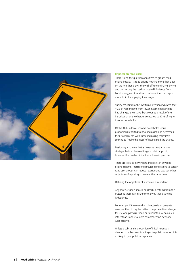

#### **Impacts on road users**

There is also the question about which groups road pricing impacts. Is road pricing nothing more than a tax on the rich that allows the well off to continuing driving and congesting the roads unabated? Evidence from London suggests that drivers on lower incomes report more difficulty in paying the charge.

Survey results from the Western Extension indicated that 40% of respondents from lower income households had changed their travel behaviour as a result of the introduction of the charge, compared to 17% of higher income households.

Of the 40% in lower income households, equal proportions reported to have increased and decreased their travel by car, with those increasing their travel seeking to 'make the most' of having paid the charge.

Designing a scheme that is 'revenue neutral' is one strategy that can be used to gain public support, however this can be difficult to achieve in practice.

There are likely to be winners and losers in any road pricing scheme. Pressure to provide concessions to certain road user groups can reduce revenue and weaken other objectives of a pricing scheme at the same time.

Defining the objectives of a scheme is important.

Any revenue goals should be clearly identified from the outset as these can influence the way that a scheme is designed.

For example if the overriding objective is to generate revenue, then it may be better to impose a fixed charge for use of a particular road or travel into a certain area rather than impose a more comprehensive network wide scheme.

Unless a substantial proportion of initial revenue is directed to either road funding or to public transport it is unlikely to gain public acceptance.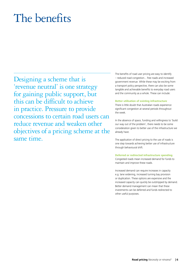# The benefits

Designing a scheme that is 'revenue neutral' is one strategy for gaining public support, but this can be difficult to achieve in practice. Pressure to provide concessions to certain road users can reduce revenue and weaken other objectives of a pricing scheme at the same time.

The benefits of road user pricing are easy to identify – reduced road congestion... free roads and increased government revenue. While these may be exciting from a transport policy perspective, there can also be some tangible and achievable benefits to everyday road users and the community as a whole. These can include:

#### **Better utilisation of existing infrastructure**

There is little doubt that Australian roads experience significant congestion at several periods throughout the week.

In the absence of space, funding and willingness to 'build our way out of the problem', there needs to be some consideration given to better use of the infrastructure we already have.

The application of direct pricing to the use of roads is one step towards achieving better use of infrastructure through behavioural shift.

#### **Deferred or redirected infrastructure spending**

Congested roads mean increased demand for funds to maintain and improve these roads.

Increased demand can require increases in capacity e.g. lane widening, increased turning bay provision or duplication. These options are expensive and the increased capacity can quickly be outstripped by demand. Better demand management can mean that these investments can be deferred and funds redirected to other useful purposes.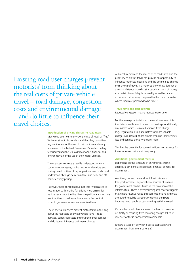Existing road user charges prevent motorists' from thinking about the real costs of private vehicle travel – road damage, congestion costs and environmental damage – and do little to influence their travel choices.

#### **Introduction of pricing signals to road users**

Many road users currently view the use of roads as 'free'. While most motorists understand that they pay a fixed registration fee for the use of their vehicles and many are aware of the Federal Government's fuel excise levy, few understand the real cost (economic, financial and environmental) of the use of their motor vehicles.

The user-pays concept is readily understood when it comes to other assets, such as water or electricity and pricing based on time of day or peak demand is also well understood, through peak train fares and peak and off peak electricity pricing.

However, these concepts have not readily translated to road usage, with relative flat pricing mechanisms for vehicle use – once the fixed fees are paid, many motorists feel that they should travel by car more frequently in order to get value for money from fixed fees.

These pricing structures prevent motorists from thinking about the real costs of private vehicle travel – road damage, congestion costs and environmental damage – and do little to influence their travel choices.

A direct link between the real costs of road travel and the prices levied on this travel can provide an opportunity to influence motorists' decisions and the potential to change their choice of travel. If a motorist knew that a journey of a certain distance would cost a certain amount of money at a certain time of day, how readily would he or she undertake that journey compared to the current situation where roads are perceived to be 'free'?

#### **Travel time and cost savings**

Reduced congestion means reduced travel time.

For the average motorist or commercial road user, this translates directly into time and cost savings. Additionally, any system which uses a reduction in fixed charges (e.g. registration) as an alternative for more variable charges will 'reward' those drivers who use their vehicles less and penalise those who travel more.

This has the potential for some significant cost savings for those who use their cars infrequently.

#### **Additional government revenue**

Depending on the structure of any pricing scheme applied, it can generate significant financial benefits for government.

As cities grow and demand for infrastructure and transport increases, any additional sources of revenue for government can be utilised in the provision of this infrastructure. There is overwhelming evidence to suggest that where revenue raised through road pricing is directly attributed to public transport or general transport improvements, public acceptance is greatly increased.

Can a scheme which operates on the basis of revenue neutrality or reducing fixed motoring charges still raise revenue for these transport improvements?

Is there a trade off between public acceptability and government investment potential?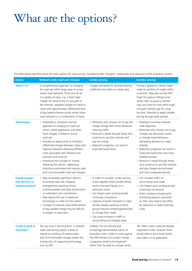# What are the options?

The table below identifies some the main options for road pricing, considering their strengths, weaknesses and relevance to the Australian context.

| <b>Option</b>                                              | <b>Network wide road user charges</b>                                                                                                                                                                                                                                                                                                                                                                                                                                                                                               | <b>Cordon pricing</b>                                                                                                                                                                                                                                                                                                                                                                                                            | <b>Corridor pricing</b>                                                                                                                                                                                                                                                                                                                                                                                                                      |
|------------------------------------------------------------|-------------------------------------------------------------------------------------------------------------------------------------------------------------------------------------------------------------------------------------------------------------------------------------------------------------------------------------------------------------------------------------------------------------------------------------------------------------------------------------------------------------------------------------|----------------------------------------------------------------------------------------------------------------------------------------------------------------------------------------------------------------------------------------------------------------------------------------------------------------------------------------------------------------------------------------------------------------------------------|----------------------------------------------------------------------------------------------------------------------------------------------------------------------------------------------------------------------------------------------------------------------------------------------------------------------------------------------------------------------------------------------------------------------------------------------|
| What it is?                                                | A comprehensive approach to charging<br>for road use within large areas or across<br>whole road networks. Prices can be set<br>in a variety of ways, e.g. a fixed 'base<br>charge' for travel across on any part of<br>the network, separate charges for travel in<br>urban and regional areas, differential time<br>of day based schemes across whole urban<br>road networks or a combination of these.                                                                                                                            | Charges are levied for vehicles entering<br>a defined zone within an urban area.                                                                                                                                                                                                                                                                                                                                                 | Pricing is applied to various major<br>roads (or portions of roads) within<br>a network. May also include HOT<br>(High Occupancy Tolling) Lanes<br>where high occupancy vehicles<br>may use a lane for free while single<br>occupant vehicles pay for using<br>the lane. Potential to apply variable<br>pricing through peak periods.                                                                                                        |
| <b>Advantages</b>                                          | • Establishes a consistent and fair<br>approach to charging for road use<br>which, unlike registration and other<br>fixed charges, is linked to actual<br>road use<br>• Provides an opportunity to introduce<br>differential charges between urban and<br>regional networks reflecting different<br>costs associated with infrastructure<br>provision and costs etc<br>• Introduces the concept of 'money<br>following the vehicle', addressing<br>distortions associated with various state<br>and Commonwealth road user charges. | • Motorists who choose not to pay the<br>charge change their travel behaviour,<br>reducing traffic<br>• Revenue is raised through those who<br>continue to use their vehicles and<br>pay the charge<br>• Reduced congestion can result in<br>improved travel times.                                                                                                                                                              | • Potential to achieve network-<br>wide objectives<br>• Motorists who choose not to pay<br>charges use alternative routes<br>or change travel behaviour,<br>decreasing demand on major<br>arterials<br>• Reduced congestion can result in<br>improved travel times and more<br>reliable journeys<br>• Revenue is raised through those<br>who continue to use their vehicles<br>and pay charges during busiest<br>and most congested periods. |
| <b>Disadvantages</b><br>and barriers to<br>implementation? | • May necessitate significant reforms<br>to existing road user charging<br>arrangements requiring strong<br>Commonwealth and State Government<br>co-ordination and commitment<br>• May require the use of expensive<br>technology to under pin the system<br>• Concept of network wide distance/time<br>of day variable charge may be difficult<br>to explain to road users.                                                                                                                                                        | • In order to succeed, cordon pricing<br>is best applied where private vehicle<br>travel is focused heavily on a<br>particular centre<br>• Can impact upon existing private<br>motorway concessions<br>• Capacity of public transport in major<br>centres already reaching its limits,<br>giving motorists limited opportunities<br>to change their mode<br>• Can cause increase in traffic in<br>surrounding non-charged areas. | • Can increase traffic on<br>surrounding local roads<br>• Can impact upon existing private<br>motorway concessions<br>• Public resistance at paying for<br>something previous perceived<br>as 'free' may need to be offset<br>by reductions in fixed motoring<br>costs.                                                                                                                                                                      |
| <b>Could it work in</b><br>Australia?                      | Yes, but only in the long term. A network<br>wide road pricing system is likely to<br>require an overhaul of existing state<br>and Commonwealth charges and/or the<br>introduction of supporting technology<br>such as GPS.                                                                                                                                                                                                                                                                                                         | Unlikely. The low density and<br>increasingly decentralised nature of<br>Australian cities is likely to work against<br>the effectiveness of a cordon charge.<br>Congestion tends to be dispersed<br>rather than focused on a single centre                                                                                                                                                                                      | Yes. Many urban roads are already<br>subjected to tolls, however there<br>would need to be a more holistic<br>view taken on its application.                                                                                                                                                                                                                                                                                                 |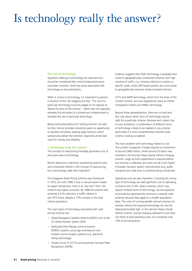# Is technology really the answer?

#### **The role of technology**

Questions relating to technology are important but should be considered after more fundamental issues have been resolved. Some key issues associated with technology as discussed below.

When it comes to technology, it is important to prevent a situation of the 'tail wagging the dog'. The use of a particular technology must be judged on its capacity to deliver the aims of the scheme – rather than the opposite, whereby the principles of a scheme are compromised to facilitate the use of particular technology.

Being overly prescriptive and 'picking winners' can also be risky. Service providers should be given an opportunity to develop innovative, leading edge solutions which satisfactorily deliver the scheme's objectives at the best value for money and reliability.

#### **Is technology really the answer?**

The concept of road pricing inevitably generates a lot of discussion about technology.

Recent advances in electronic positioning systems have led to renewed interest in the concept of road pricing, but is technology really that important?

The Singapore Road Pricing Scheme was introduced in 1975, but until 1998, it was a manual system based on paper transactions. Even in its 'low tech' form, the scheme was highly successful. By 1988 the scheme had achieved a 31% reduction in traffic relative to pre-1975 levels, despite a 77% increase in the total vehicle population.

The main types of technology associated with road pricing schemes are:

- • Global Navigation Satellite Systems (GNSS) such as the US Global Position System (GPS)
- • Dedicated Short-Range Communications (DSRDC) systems using tags and beacons and wireless communication systems (e.g. electronic tolling technology)
- • Closed Circuit TV (CCTV) and Automatic Number Plate Recognition (ANPR).

Evidence suggests that DSRC technology is probably best suited to geographically constrained schemes with high volumes of traffic, e.g. schemes relating to cordons or specific roads, whilst GPS-based systems are more suited to geographically extensive distance-based schemes.

CCTV and ANPR technology, which form the basis of the London scheme, are now regarded by many as inferior compared to GNSS and DSRDC technology.

Beyond these generalisations, there are no hard and fast rules about which form of technology may be right for a particular scheme. Because each system has its own limitations, a combination of different forms of technology is likely to be needed in any scheme, particularly if a more comprehensive network wide scheme is being considered.

The main problem with technology relates to cost. The London Congestion Charge required an investment of around \$400 million, whilst around \$3 billion was invested in the German Heavy Goods Vehicle charging scheme. Large up front expenditure is required before any revenue is collected, and costs can be much higher if broader transport system improvements (e.g. public transport) are made prior to schemes being introduced.

Operating costs are also important. Choosing the wrong type of technology can add significant cost to operating a scheme over its life. Urban schemes, which may require multiple forms of technology, can be expensive to provide but generate less revenue to network wide schemes because they apply to a smaller population base. The costs of running parallel manual schemes for vehicles without the required technology can also be disproportionately high. In the German Heavy Goods Vehicle scheme, manual charging represents more than one third of total operating costs, but comprises only 10% of all transactions.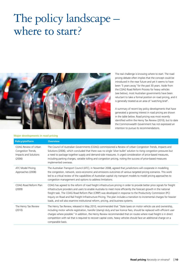## The policy landscape – where to start?



The real challenge is knowing where to start. The road pricing debate often implies that the concept could be introduced in the near future and yet it seems to have been '5 years away' for the past 30 years. Aside from the COAG Road Reform Process for heavy vehicles (see below), most Australian governments have been reluctant to take a formal position on road pricing, and it is generally treated as an area of 'watching brief'.

A summary of recent key policy developments that have generated a growing interest in road pricing are shown in the table below. Road pricing was most recently identified within the Henry Tax Review (2010), but to date the Commonwealth Government has not expressed an intention to pursue its recommendations.

### **Major developments in road pricing**

| <b>Policy/platform</b>                                                        | <b>Overview</b>                                                                                                                                                                                                                                                                                                                                                                                                                                                                                                                                                                     |
|-------------------------------------------------------------------------------|-------------------------------------------------------------------------------------------------------------------------------------------------------------------------------------------------------------------------------------------------------------------------------------------------------------------------------------------------------------------------------------------------------------------------------------------------------------------------------------------------------------------------------------------------------------------------------------|
| COAG Review of Urban<br>Congestion Trends,<br>Impacts and Solutions<br>(2006) | The Council of Australian Governments (COAG) commissioned a Review of Urban Congestion Trends, Impacts and<br>Solutions (2006), which concluded that there was no single 'silver bullet' solution to rising congestion pressures but<br>a need to package together supply and demand-side measures. It urged consideration of price-based measures,<br>including parking charges, variable tolling and congestion pricing, noting the success of price-based measures<br>implemented overseas.                                                                                      |
| ATC Model Pricing<br>Approaches (2008)                                        | The Australian Transport Council (ATC), in November 2008, agreed that jurisdictions will cooperate in modelling<br>the congestion, network, socio-economic and emissions outcomes of various targeted pricing scenarios. This work<br>led to a critical review of the capabilities of Australian capital city transport models to model pricing approaches to<br>congestion management and options to address limitations.                                                                                                                                                          |
| COAG Road Reform Plan<br>(2009)                                               | COAG has agreed to the reform of road freight infrastructure pricing in order to provide better price signals for freight<br>infrastructure providers and users to enable Australia to meet more efficiently the forecast growth in the national<br>freight task. The COAG Road Reform Plan (CRRP) was developed in response to the Productivity Commission (PC)<br>Inquiry on Road and Rail Freight Infrastructure Pricing. The plan includes a transition to incremental charges for heavier<br>loads, and will also examine institutional reform, pricing, and business systems. |
| The Henry Tax Review<br>(2010)                                                | The Henry Tax Review, released in May 2010, recommended that "State taxes on motor vehicle use and ownership,<br>including motor vehicle registration, transfer (stamp) duty and taxi licence fees, should be replaced with efficient user<br>charges where possible." In addition, the Henry Review recommended that on routes where road freight is in direct<br>competition with rail that is required to recover capital costs, heavy vehicles should face an additional charge on a<br>comparable basis.                                                                       |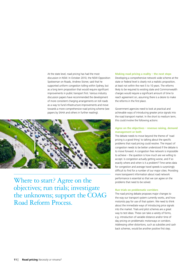At the state level, road pricing has had the most discussion in NSW. In October 2010, the NSW Opposition Spokesman on Roads, Andrew Stoner, said that he supported uniform congestion tolling within Sydney, but as a long term proposition that would require significant improvements in public transport first. Various industry discussion papers have recommended the development of more consistent charging arrangements on toll roads as a way to fund infrastructure improvements and move towards a more comprehensive road pricing scheme (see papers by SAHA and others in further reading).



Where to start? Agree on the objectives; run trials; investigate the unknowns; support the COAG Road Reform Process.

#### **Making road pricing a reality – the next steps**

Developing a comprehensive network wide scheme at the state or federal level is clearly not a realistic proposition, at least not within the next 5 to 10 years. The reforms likely to be required to existing state and Commonwealth charges would require a significant amount of time to reach agreement on, assuming there is a desire to make the reforms in the first place.

Government agencies need to look at practical and achievable ways of introducing greater price signals into the road transport market. In the short to medium term, this could involve the following actions:

### **Agree on the objectives – revenue raising, demand management or both**

The debate needs to move beyond the theme of 'road pricing is a good thing' to talking about the specific problems that road pricing could resolve. The impact of congestion needs to be better understood if the debate is to move forward. A congestion free network is impossible to achieve – the question is how much are we willing to accept. Is congestion actually getting worse, and if so exactly where and when is it a problem? Time series data for congestion and average travel speeds is surprisingly difficult to find for a number of our major cities. Providing more transparent information about road network performance is essential so that we can agree on the problems that need to be solved.

#### **Run trials on problematic corridors**

The road pricing debate proposes major changes to the way our transport system currently works, and how motorists pay for use of that system. We need to think about the immediate ways of introducing price signals into the market. Trials and pilot schemes are a great way to test ideas. These can take a variety of forms, e.g. introduction of variable distance and/or time of day pricing on problematic motorways or corridors. Addressing other distortions, such as subsidies and cash back schemes, would be another positive first step.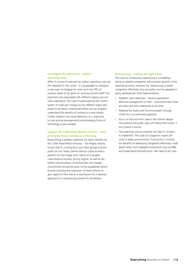### **Investigate the unknowns – system operating costs**

When it comes to road pricing, system operating costs are the 'elephant in the corner'. Is it acceptable to introduce a new way of charging for road use if one fifth of revenue needs to be spent on running scheme itself? The potential costs associated with different options are not well understood. The costs of administering the current system of road user charges across different states also needs to be better understood before we can properly understand the benefits of moving to a new system. Further research into travel behaviour (i.e. responses to new pricing arrangements) and emerging forms of technology is also needed.

### **Support the COAG Road Reform Process – road pricing for heavy vehicles as a first step**

Road pricing is already underway for heavy vehicles via the COAG Road Reform Process – the freight industry knows that it's coming but most other groups and the public do not. Heavy vehicle reforms could provide a platform for the longer term rollout of a broader mass-distance-location pricing regime, as well as the further harmonisation of existing fees and charges. Commitment should be given to the established reform process including the expansion of these reforms to give regard to their role as a mechanism for a national approach to a road pricing scheme for all vehicles.

#### **Road pricing – making the right move**

The case for introducing road pricing is compelling – failing to address congestion will constrain growth of the national economy. However for road pricing to tackle congestion effectively, four principles must be adopted in policy development and implementation.

- • Establish clear objectives revenue generation, demand management or both – and ensure that these are clear and well understood at all times
- • Mobilise the States and Commonwealth through COAG for a co-ordinated approach
- Focus on the economic case in the scheme design. The political and public case will 'follow the money' if the scheme is sound
- Start planning now as schemes can take 5-10 years to implement. The scale of congestion means the costs of delay are enormous. Putting this in context, the benefits of addressing congestion effectively could dwarf other much-debated investments such as NBN and Queensland reconstruction. We need to act now.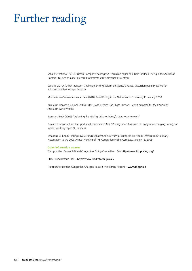# Further reading

Saha International (2010), 'Urban Transport Challenge: A Discussion paper on a Role for Road Pricing in the Australian Context', Discussion paper prepared for Infrastructure Partnerships Australia

Castalia (2010), 'Urban Transport Challenge: Driving Reform on Sydney's Roads, Discussion paper prepared for Infrastructure Partnerships Australia

Ministerie van Verkeer en Waterstaat (2010) Road Pricing in the Netherlands: Overview', 13 January 2010

Australian Transport Council (2009) COAG Road Reform Plan Phase I Report: Report prepared for the Council of Australian Governments

Evans and Peck (2009), 'Delivering the Missing Links to Sydney's Motorway Network'

Bureau of Infrastructure, Transport and Economics (2008), 'Moving urban Australia: can congestion charging unclog our roads', Working Paper 74, Canberra.

Broaddus, A. (2008) 'Tolling Heavy Goods Vehicles: An Overview of European Practice & Lessons from Germany', Presentation to the 2008 Annual Meeting of TRB Congestion Pricing Comittee, January 16, 2008

#### **Other information sources**

Transportation Research Board Congestion Pricing Committee – See http://www.trb-pricing.org/

COAG Road Reform Plan – http://www.roadreform.gov.au/

Transport for London Congestion Charging Impacts Monitoring Reports - www.tfl.gov.uk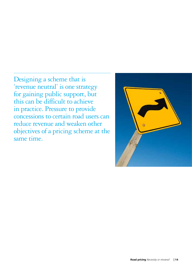Designing a scheme that is 'revenue neutral' is one strategy for gaining public support, but this can be difficult to achieve in practice. Pressure to provide concessions to certain road users can reduce revenue and weaken other objectives of a pricing scheme at the same time.

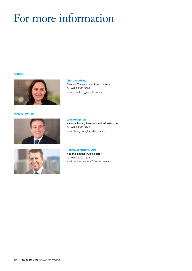# For more information

### **Authors**



**National contact**





**Christine Atkins**

Director, Transport and infrastructure Tel: +61 2 9322 5399 email: chratkins@deloitte.com.au

### **Luke Houghton**

National leader, Transport and infrastructure Tel: +61 2 9322 5245 email: lhoughton@deloitte.com.au

### **Andrew Johnstone-Burt**

National Leader, Public Sector Tel: +61 2 9322 7525 email: ajohnstoneburt@deloitte.com.au